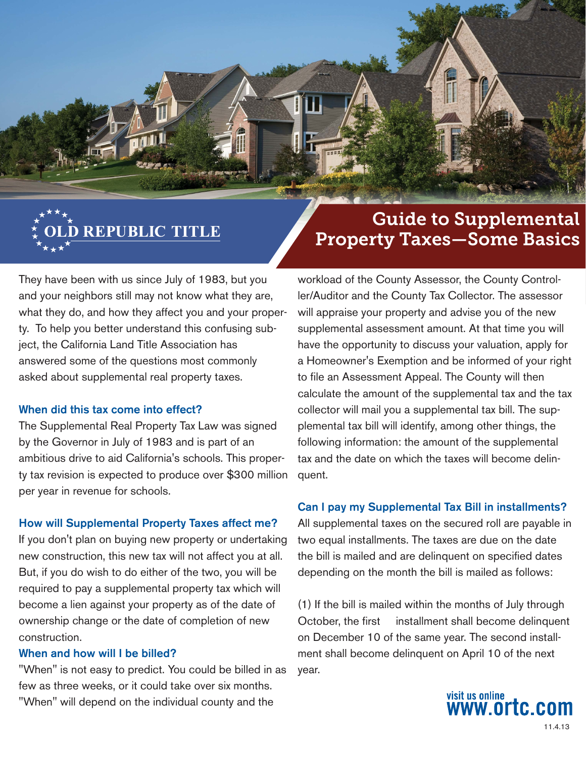

# Guide to Supplemental Property Taxes—Some Basics

They have been with us since July of 1983, but you and your neighbors still may not know what they are, what they do, and how they affect you and your property. To help you better understand this confusing subject, the California Land Title Association has answered some of the questions most commonly asked about supplemental real property taxes.

#### When did this tax come into effect?

The Supplemental Real Property Tax Law was signed by the Governor in July of 1983 and is part of an ambitious drive to aid California's schools. This property tax revision is expected to produce over \$300 million per year in revenue for schools.

### How will Supplemental Property Taxes affect me?

If you don't plan on buying new property or undertaking new construction, this new tax will not affect you at all. But, if you do wish to do either of the two, you will be required to pay a supplemental property tax which will become a lien against your property as of the date of ownership change or the date of completion of new construction.

### When and how will I be billed?

"When" is not easy to predict. You could be billed in as few as three weeks, or it could take over six months. "When" will depend on the individual county and the

workload of the County Assessor, the County Controller/Auditor and the County Tax Collector. The assessor will appraise your property and advise you of the new supplemental assessment amount. At that time you will have the opportunity to discuss your valuation, apply for a Homeowner's Exemption and be informed of your right to file an Assessment Appeal. The County will then calculate the amount of the supplemental tax and the tax collector will mail you a supplemental tax bill. The supplemental tax bill will identify, among other things, the following information: the amount of the supplemental tax and the date on which the taxes will become delinquent.

#### Can I pay my Supplemental Tax Bill in installments?

All supplemental taxes on the secured roll are payable in two equal installments. The taxes are due on the date the bill is mailed and are delinquent on specified dates depending on the month the bill is mailed as follows:

(1) If the bill is mailed within the months of July through October, the first installment shall become delinquent on December 10 of the same year. The second installment shall become delinquent on April 10 of the next year.